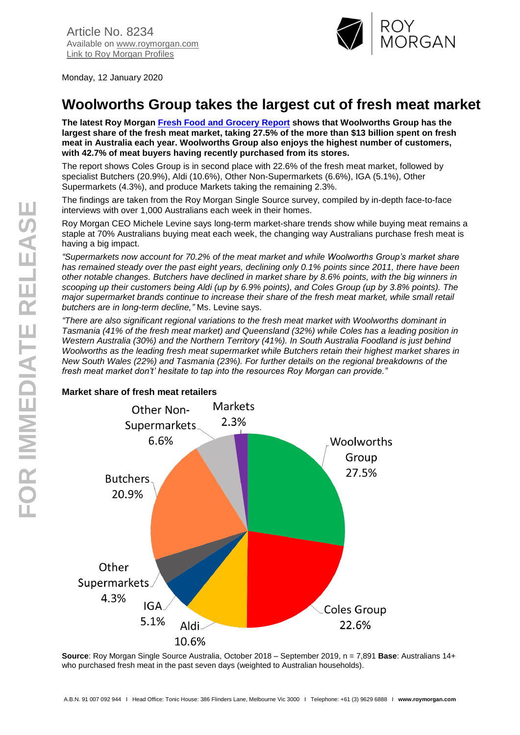

Monday, 12 January 2020

# **Woolworths Group takes the largest cut of fresh meat market**

**The latest Roy Morgan [Fresh Food and Grocery](https://store.roymorgan.com/products/australia/banking-and-finance/superannuation) Report shows that Woolworths Group has the largest share of the fresh meat market, taking 27.5% of the more than \$13 billion spent on fresh meat in Australia each year. Woolworths Group also enjoys the highest number of customers, with 42.7% of meat buyers having recently purchased from its stores.**

The report shows Coles Group is in second place with 22.6% of the fresh meat market, followed by specialist Butchers (20.9%), Aldi (10.6%), Other Non-Supermarkets (6.6%), IGA (5.1%), Other Supermarkets (4.3%), and produce Markets taking the remaining 2.3%.

The findings are taken from the Roy Morgan Single Source survey, compiled by in-depth face-to-face interviews with over 1,000 Australians each week in their homes.

Roy Morgan CEO Michele Levine says long-term market-share trends show while buying meat remains a staple at 70% Australians buying meat each week, the changing way Australians purchase fresh meat is having a big impact.

*"Supermarkets now account for 70.2% of the meat market and while Woolworths Group's market share has remained steady over the past eight years, declining only 0.1% points since 2011, there have been other notable changes. Butchers have declined in market share by 8.6% points, with the big winners in scooping up their customers being Aldi (up by 6.9% points), and Coles Group (up by 3.8% points). The major supermarket brands continue to increase their share of the fresh meat market, while small retail butchers are in long-term decline,"* Ms. Levine says.

*"There are also significant regional variations to the fresh meat market with Woolworths dominant in Tasmania (41% of the fresh meat market) and Queensland (32%) while Coles has a leading position in Western Australia (30%) and the Northern Territory (41%). In South Australia Foodland is just behind Woolworths as the leading fresh meat supermarket while Butchers retain their highest market shares in New South Wales (22%) and Tasmania (23%). For further details on the regional breakdowns of the fresh meat market don't' hesitate to tap into the resources Roy Morgan can provide."*



**Source**: Roy Morgan Single Source Australia, October 2018 – September 2019, n = 7,891 **Base**: Australians 14+ who purchased fresh meat in the past seven days (weighted to Australian households).